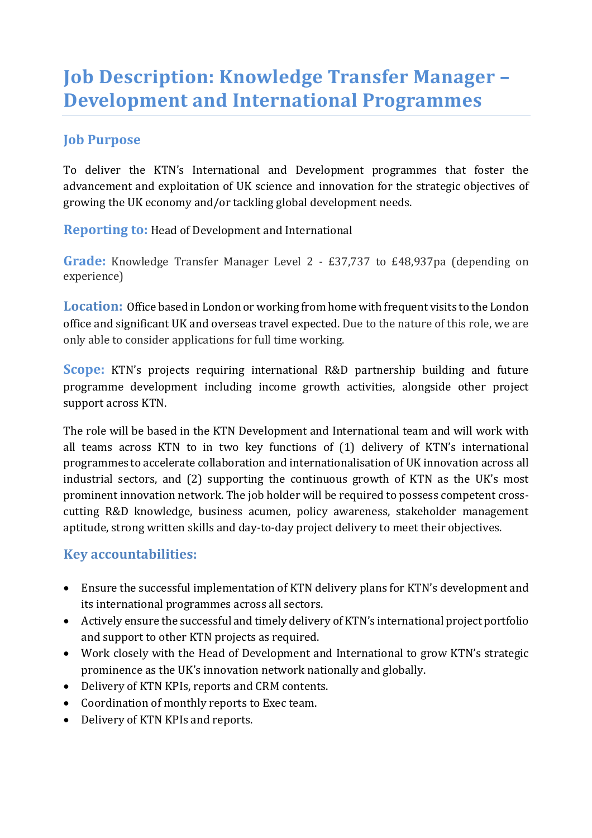# **Job Description: Knowledge Transfer Manager -Development and International Programmes**

#### **Job Purpose**

To deliver the KTN's International and Development programmes that foster the advancement and exploitation of UK science and innovation for the strategic objectives of growing the UK economy and/or tackling global development needs.

**Reporting to:** Head of Development and International

**Grade:** Knowledge Transfer Manager Level 2 - £37,737 to £48,937pa (depending on experience)

**Location:** Office based in London or working from home with frequent visits to the London office and significant UK and overseas travel expected. Due to the nature of this role, we are only able to consider applications for full time working.

**Scope:** KTN's projects requiring international R&D partnership building and future programme development including income growth activities, alongside other project support across KTN.

The role will be based in the KTN Development and International team and will work with all teams across KTN to in two key functions of (1) delivery of KTN's international programmes to accelerate collaboration and internationalisation of UK innovation across all industrial sectors, and (2) supporting the continuous growth of KTN as the UK's most prominent innovation network. The job holder will be required to possess competent crosscutting R&D knowledge, business acumen, policy awareness, stakeholder management aptitude, strong written skills and day-to-day project delivery to meet their objectives.

#### **Key accountabilities:**

- Ensure the successful implementation of KTN delivery plans for KTN's development and its international programmes across all sectors.
- Actively ensure the successful and timely delivery of KTN's international project portfolio and support to other KTN projects as required.
- Work closely with the Head of Development and International to grow KTN's strategic prominence as the UK's innovation network nationally and globally.
- Delivery of KTN KPIs, reports and CRM contents.
- Coordination of monthly reports to Exec team.
- Delivery of KTN KPIs and reports.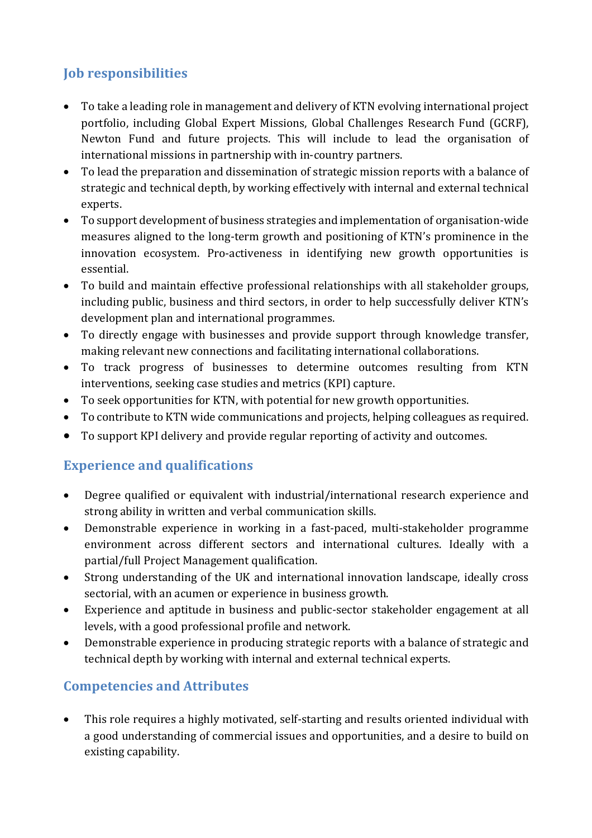## **Job responsibilities**

- To take a leading role in management and delivery of KTN evolving international project portfolio, including Global Expert Missions, Global Challenges Research Fund (GCRF), Newton Fund and future projects. This will include to lead the organisation of international missions in partnership with in-country partners.
- To lead the preparation and dissemination of strategic mission reports with a balance of strategic and technical depth, by working effectively with internal and external technical experts.
- To support development of business strategies and implementation of organisation-wide measures aligned to the long-term growth and positioning of KTN's prominence in the innovation ecosystem. Pro-activeness in identifying new growth opportunities is essential.
- To build and maintain effective professional relationships with all stakeholder groups, including public, business and third sectors, in order to help successfully deliver KTN's development plan and international programmes.
- To directly engage with businesses and provide support through knowledge transfer, making relevant new connections and facilitating international collaborations.
- To track progress of businesses to determine outcomes resulting from KTN interventions, seeking case studies and metrics (KPI) capture.
- To seek opportunities for KTN, with potential for new growth opportunities.
- To contribute to KTN wide communications and projects, helping colleagues as required.
- To support KPI delivery and provide regular reporting of activity and outcomes.

## **Experience and qualifications**

- Degree qualified or equivalent with industrial/international research experience and strong ability in written and verbal communication skills.
- Demonstrable experience in working in a fast-paced, multi-stakeholder programme environment across different sectors and international cultures. Ideally with a partial/full Project Management qualification.
- Strong understanding of the UK and international innovation landscape, ideally cross sectorial, with an acumen or experience in business growth.
- Experience and aptitude in business and public-sector stakeholder engagement at all levels, with a good professional profile and network.
- Demonstrable experience in producing strategic reports with a balance of strategic and technical depth by working with internal and external technical experts.

### **Competencies and Attributes**

• This role requires a highly motivated, self-starting and results oriented individual with a good understanding of commercial issues and opportunities, and a desire to build on existing capability.